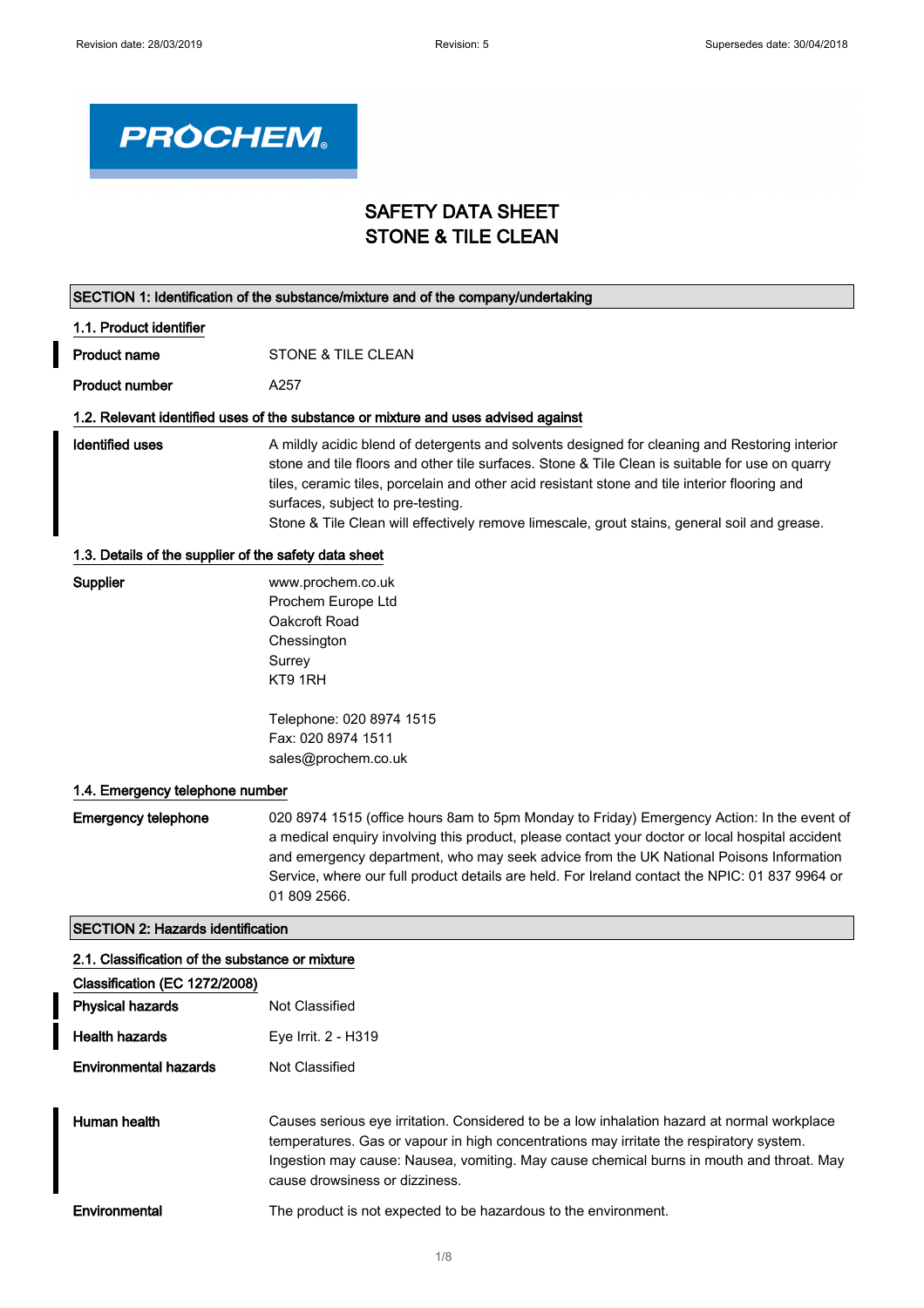$\overline{\phantom{a}}$ 



SECTION 1: Identification of the substance/mixture and of the company/undertaking

# SAFETY DATA SHEET STONE & TILE CLEAN

| 1.1. Product identifier                               |                                                                                                                                                                                                                                                                                                                                                                                                                                        |
|-------------------------------------------------------|----------------------------------------------------------------------------------------------------------------------------------------------------------------------------------------------------------------------------------------------------------------------------------------------------------------------------------------------------------------------------------------------------------------------------------------|
| <b>Product name</b>                                   | STONE & TILE CLEAN                                                                                                                                                                                                                                                                                                                                                                                                                     |
| <b>Product number</b>                                 | A257                                                                                                                                                                                                                                                                                                                                                                                                                                   |
|                                                       | 1.2. Relevant identified uses of the substance or mixture and uses advised against                                                                                                                                                                                                                                                                                                                                                     |
| <b>Identified uses</b>                                | A mildly acidic blend of detergents and solvents designed for cleaning and Restoring interior<br>stone and tile floors and other tile surfaces. Stone & Tile Clean is suitable for use on quarry<br>tiles, ceramic tiles, porcelain and other acid resistant stone and tile interior flooring and<br>surfaces, subject to pre-testing.<br>Stone & Tile Clean will effectively remove limescale, grout stains, general soil and grease. |
| 1.3. Details of the supplier of the safety data sheet |                                                                                                                                                                                                                                                                                                                                                                                                                                        |
| Supplier                                              | www.prochem.co.uk<br>Prochem Europe Ltd<br>Oakcroft Road<br>Chessington<br>Surrey<br>KT9 1RH                                                                                                                                                                                                                                                                                                                                           |
|                                                       | Telephone: 020 8974 1515<br>Fax: 020 8974 1511<br>sales@prochem.co.uk                                                                                                                                                                                                                                                                                                                                                                  |
| 1.4. Emergency telephone number                       |                                                                                                                                                                                                                                                                                                                                                                                                                                        |
| <b>Emergency telephone</b>                            | 020 8974 1515 (office hours 8am to 5pm Monday to Friday) Emergency Action: In the event of<br>a medical enquiry involving this product, please contact your doctor or local hospital accident<br>and emergency department, who may seek advice from the UK National Poisons Information<br>Service, where our full product details are held. For Ireland contact the NPIC: 01 837 9964 or<br>01 809 2566.                              |
| <b>SECTION 2: Hazards identification</b>              |                                                                                                                                                                                                                                                                                                                                                                                                                                        |
| 2.1. Classification of the substance or mixture       |                                                                                                                                                                                                                                                                                                                                                                                                                                        |
| Classification (EC 1272/2008)                         |                                                                                                                                                                                                                                                                                                                                                                                                                                        |
| <b>Physical hazards</b>                               | <b>Not Classified</b>                                                                                                                                                                                                                                                                                                                                                                                                                  |
| <b>Health hazards</b>                                 | Eye Irrit. 2 - H319                                                                                                                                                                                                                                                                                                                                                                                                                    |
| <b>Environmental hazards</b>                          | Not Classified                                                                                                                                                                                                                                                                                                                                                                                                                         |
| Human health                                          | Causes serious eye irritation. Considered to be a low inhalation hazard at normal workplace<br>temperatures. Gas or vapour in high concentrations may irritate the respiratory system.<br>Ingestion may cause: Nausea, vomiting. May cause chemical burns in mouth and throat. May<br>cause drowsiness or dizziness.                                                                                                                   |
| Environmental                                         | The product is not expected to be hazardous to the environment.                                                                                                                                                                                                                                                                                                                                                                        |
|                                                       | 410                                                                                                                                                                                                                                                                                                                                                                                                                                    |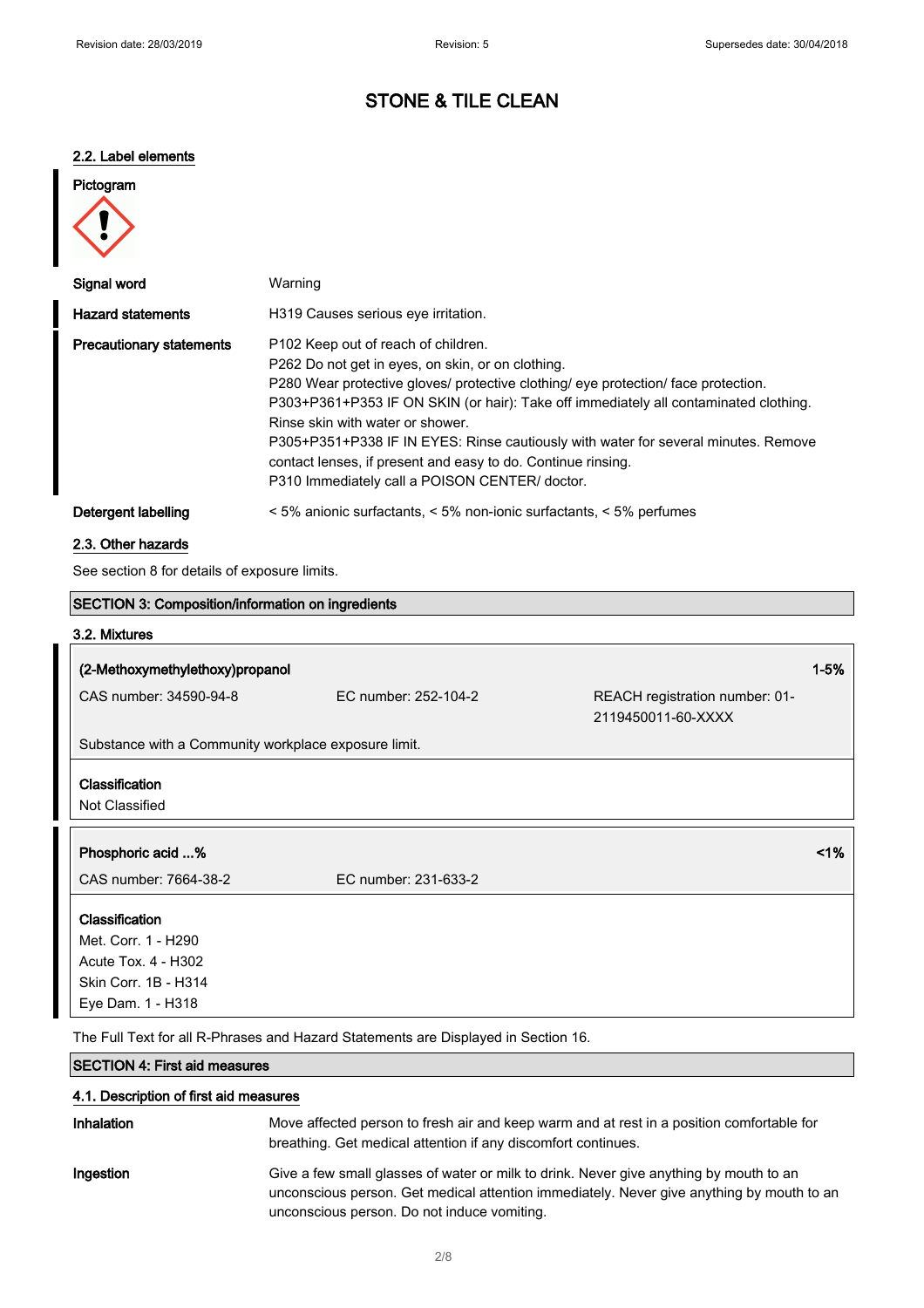# 2.2. Label elements

| Pictogram |
|-----------|
|           |

| Signal word                     | Warning                                                                                                                                                                                                                                                                                                                                                                                                                                                                                                            |
|---------------------------------|--------------------------------------------------------------------------------------------------------------------------------------------------------------------------------------------------------------------------------------------------------------------------------------------------------------------------------------------------------------------------------------------------------------------------------------------------------------------------------------------------------------------|
| <b>Hazard statements</b>        | H319 Causes serious eye irritation.                                                                                                                                                                                                                                                                                                                                                                                                                                                                                |
| <b>Precautionary statements</b> | P102 Keep out of reach of children.<br>P262 Do not get in eyes, on skin, or on clothing.<br>P280 Wear protective gloves/ protective clothing/ eye protection/ face protection.<br>P303+P361+P353 IF ON SKIN (or hair): Take off immediately all contaminated clothing.<br>Rinse skin with water or shower.<br>P305+P351+P338 IF IN EYES: Rinse cautiously with water for several minutes. Remove<br>contact lenses, if present and easy to do. Continue rinsing.<br>P310 Immediately call a POISON CENTER/ doctor. |
| Detergent labelling             | $\leq$ 5% anionic surfactants, $\leq$ 5% non-ionic surfactants, $\leq$ 5% perfumes                                                                                                                                                                                                                                                                                                                                                                                                                                 |

## 2.3. Other hazards

See section 8 for details of exposure limits.

| <b>SECTION 3: Composition/information on ingredients</b> |                      |                                                      |          |
|----------------------------------------------------------|----------------------|------------------------------------------------------|----------|
| 3.2. Mixtures                                            |                      |                                                      |          |
| (2-Methoxymethylethoxy)propanol                          |                      |                                                      | $1 - 5%$ |
| CAS number: 34590-94-8                                   | EC number: 252-104-2 | REACH registration number: 01-<br>2119450011-60-XXXX |          |
| Substance with a Community workplace exposure limit.     |                      |                                                      |          |
| Classification<br>Not Classified                         |                      |                                                      |          |
| Phosphoric acid %                                        |                      |                                                      | $1\%$    |
| CAS number: 7664-38-2                                    | EC number: 231-633-2 |                                                      |          |
| Classification                                           |                      |                                                      |          |
| Met. Corr. 1 - H290                                      |                      |                                                      |          |
| Acute Tox. 4 - H302                                      |                      |                                                      |          |
| Skin Corr. 1B - H314                                     |                      |                                                      |          |
| Eye Dam. 1 - H318                                        |                      |                                                      |          |

The Full Text for all R-Phrases and Hazard Statements are Displayed in Section 16.

# SECTION 4: First aid measures

## 4.1. Description of first aid measures

| Inhalation | Move affected person to fresh air and keep warm and at rest in a position comfortable for<br>breathing. Get medical attention if any discomfort continues.                                                                         |
|------------|------------------------------------------------------------------------------------------------------------------------------------------------------------------------------------------------------------------------------------|
| Ingestion  | Give a few small glasses of water or milk to drink. Never give anything by mouth to an<br>unconscious person. Get medical attention immediately. Never give anything by mouth to an<br>unconscious person. Do not induce vomiting. |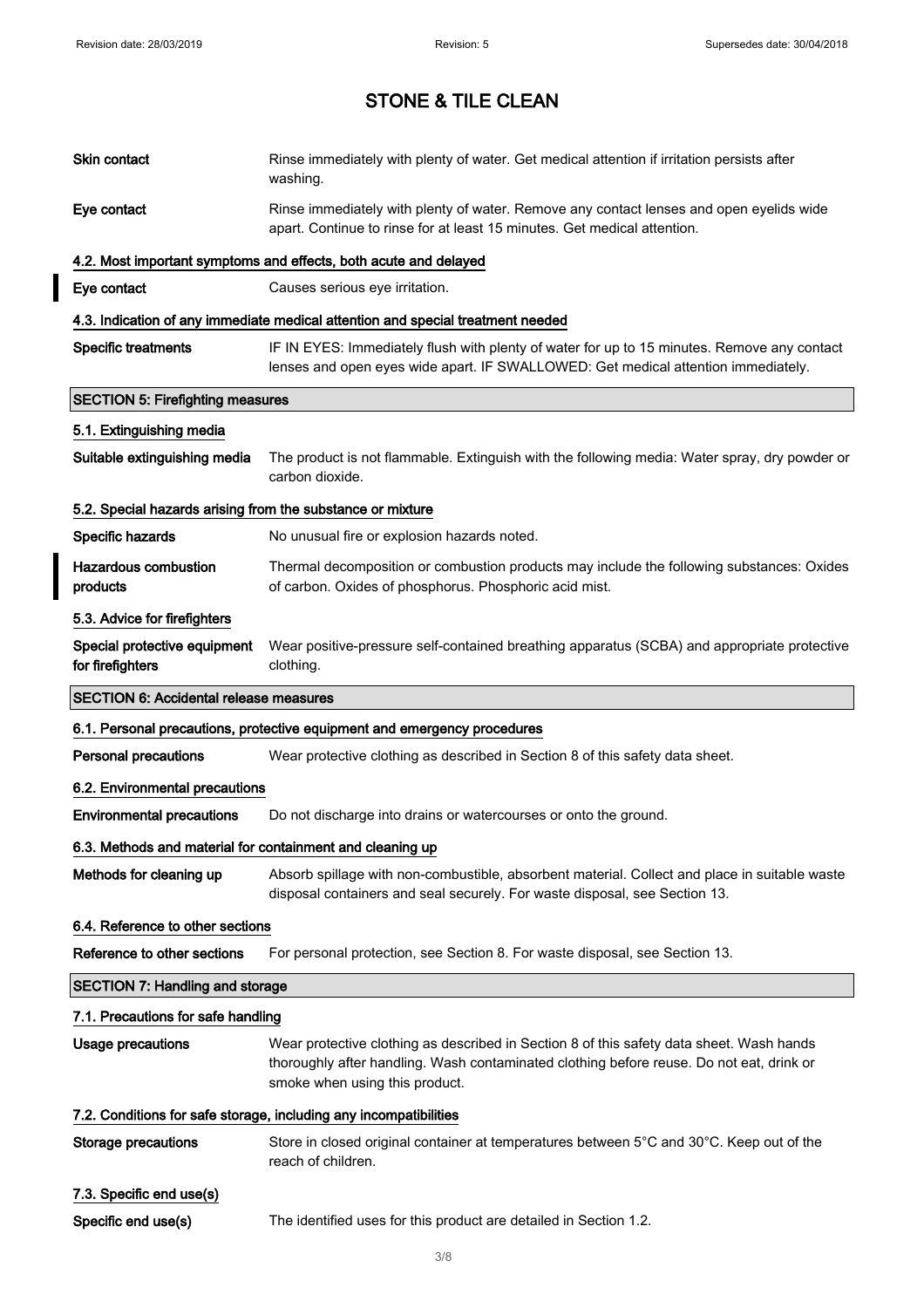$\overline{\phantom{a}}$ 

# STONE & TILE CLEAN

| Skin contact                                               | Rinse immediately with plenty of water. Get medical attention if irritation persists after<br>washing.                                                                                                                 |  |
|------------------------------------------------------------|------------------------------------------------------------------------------------------------------------------------------------------------------------------------------------------------------------------------|--|
| Eye contact                                                | Rinse immediately with plenty of water. Remove any contact lenses and open eyelids wide<br>apart. Continue to rinse for at least 15 minutes. Get medical attention.                                                    |  |
|                                                            | 4.2. Most important symptoms and effects, both acute and delayed                                                                                                                                                       |  |
| Eye contact                                                | Causes serious eye irritation.                                                                                                                                                                                         |  |
|                                                            | 4.3. Indication of any immediate medical attention and special treatment needed                                                                                                                                        |  |
| <b>Specific treatments</b>                                 | IF IN EYES: Immediately flush with plenty of water for up to 15 minutes. Remove any contact<br>lenses and open eyes wide apart. IF SWALLOWED: Get medical attention immediately.                                       |  |
| <b>SECTION 5: Firefighting measures</b>                    |                                                                                                                                                                                                                        |  |
| 5.1. Extinguishing media                                   |                                                                                                                                                                                                                        |  |
| Suitable extinguishing media                               | The product is not flammable. Extinguish with the following media: Water spray, dry powder or<br>carbon dioxide.                                                                                                       |  |
| 5.2. Special hazards arising from the substance or mixture |                                                                                                                                                                                                                        |  |
| Specific hazards                                           | No unusual fire or explosion hazards noted.                                                                                                                                                                            |  |
| <b>Hazardous combustion</b><br>products                    | Thermal decomposition or combustion products may include the following substances: Oxides<br>of carbon. Oxides of phosphorus. Phosphoric acid mist.                                                                    |  |
| 5.3. Advice for firefighters                               |                                                                                                                                                                                                                        |  |
| Special protective equipment<br>for firefighters           | Wear positive-pressure self-contained breathing apparatus (SCBA) and appropriate protective<br>clothing.                                                                                                               |  |
| <b>SECTION 6: Accidental release measures</b>              |                                                                                                                                                                                                                        |  |
|                                                            |                                                                                                                                                                                                                        |  |
|                                                            | 6.1. Personal precautions, protective equipment and emergency procedures                                                                                                                                               |  |
| <b>Personal precautions</b>                                | Wear protective clothing as described in Section 8 of this safety data sheet.                                                                                                                                          |  |
| 6.2. Environmental precautions                             |                                                                                                                                                                                                                        |  |
| <b>Environmental precautions</b>                           | Do not discharge into drains or watercourses or onto the ground.                                                                                                                                                       |  |
| 6.3. Methods and material for containment and cleaning up  |                                                                                                                                                                                                                        |  |
| Methods for cleaning up                                    | Absorb spillage with non-combustible, absorbent material. Collect and place in suitable waste<br>disposal containers and seal securely. For waste disposal, see Section 13.                                            |  |
| 6.4. Reference to other sections                           |                                                                                                                                                                                                                        |  |
| Reference to other sections                                | For personal protection, see Section 8. For waste disposal, see Section 13.                                                                                                                                            |  |
| <b>SECTION 7: Handling and storage</b>                     |                                                                                                                                                                                                                        |  |
| 7.1. Precautions for safe handling                         |                                                                                                                                                                                                                        |  |
| <b>Usage precautions</b>                                   | Wear protective clothing as described in Section 8 of this safety data sheet. Wash hands<br>thoroughly after handling. Wash contaminated clothing before reuse. Do not eat, drink or<br>smoke when using this product. |  |
|                                                            | 7.2. Conditions for safe storage, including any incompatibilities                                                                                                                                                      |  |
| <b>Storage precautions</b>                                 | Store in closed original container at temperatures between $5^{\circ}$ C and 30 $^{\circ}$ C. Keep out of the<br>reach of children.                                                                                    |  |
| 7.3. Specific end use(s)                                   |                                                                                                                                                                                                                        |  |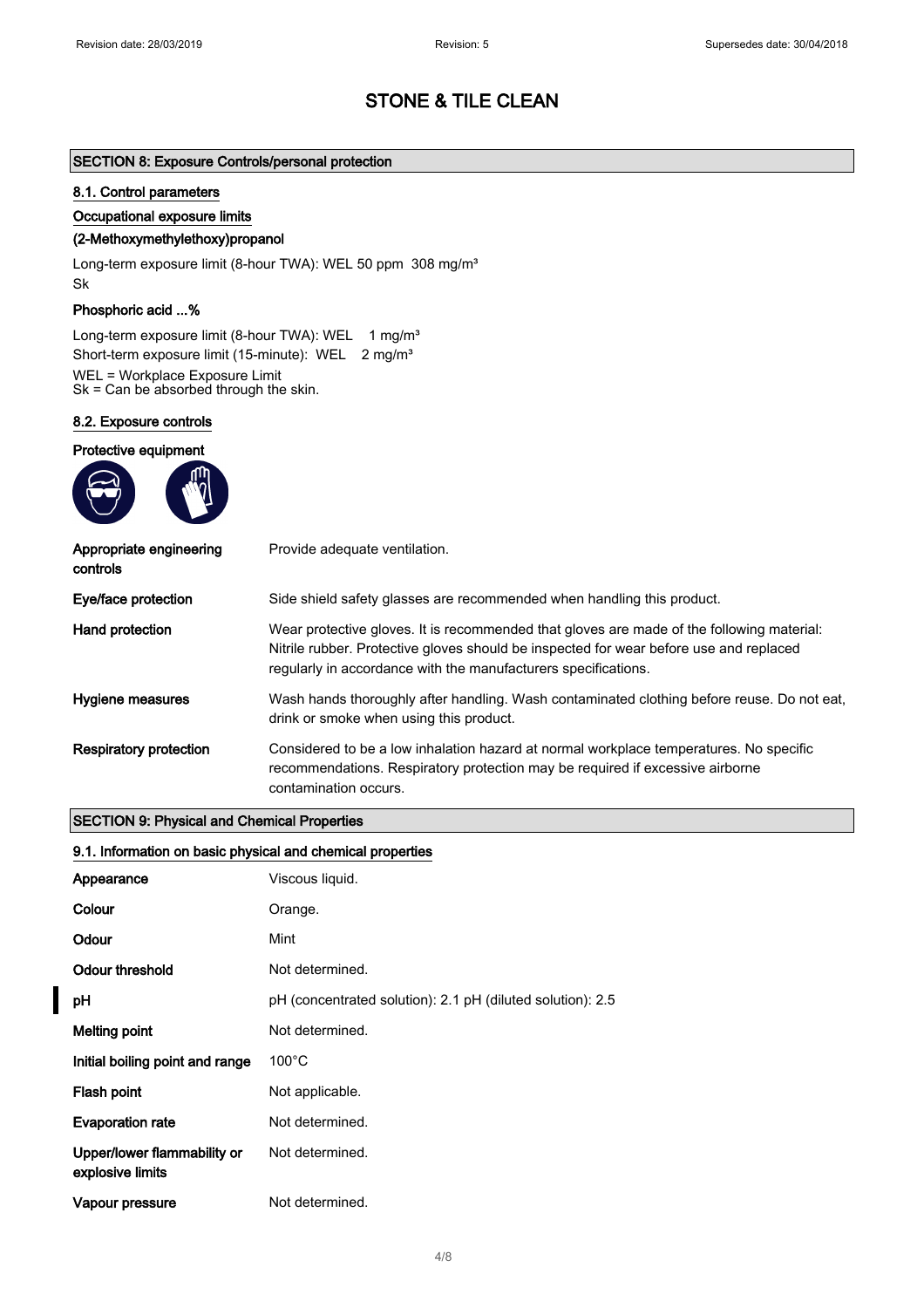## SECTION 8: Exposure Controls/personal protection

#### 8.1. Control parameters

Occupational exposure limits

## (2-Methoxymethylethoxy)propanol

Long-term exposure limit (8-hour TWA): WEL 50 ppm 308 mg/m<sup>3</sup> Sk

### Phosphoric acid ...%

Long-term exposure limit (8-hour TWA): WEL 1 mg/m<sup>3</sup> Short-term exposure limit (15-minute): WEL 2 mg/m<sup>3</sup> WEL = Workplace Exposure Limit Sk = Can be absorbed through the skin.

#### 8.2. Exposure controls

| Protective equipment                |                                                                                                                                                                                                                                                       |
|-------------------------------------|-------------------------------------------------------------------------------------------------------------------------------------------------------------------------------------------------------------------------------------------------------|
| Appropriate engineering<br>controls | Provide adequate ventilation.                                                                                                                                                                                                                         |
| Eye/face protection                 | Side shield safety glasses are recommended when handling this product.                                                                                                                                                                                |
| Hand protection                     | Wear protective gloves. It is recommended that gloves are made of the following material:<br>Nitrile rubber. Protective gloves should be inspected for wear before use and replaced<br>regularly in accordance with the manufacturers specifications. |
| Hygiene measures                    | Wash hands thoroughly after handling. Wash contaminated clothing before reuse. Do not eat,<br>drink or smoke when using this product.                                                                                                                 |
| <b>Respiratory protection</b>       | Considered to be a low inhalation hazard at normal workplace temperatures. No specific<br>recommendations. Respiratory protection may be required if excessive airborne<br>contamination occurs.                                                      |

### SECTION 9: Physical and Chemical Properties

### 9.1. Information on basic physical and chemical properties

| Appearance                                      | Viscous liquid.                                            |
|-------------------------------------------------|------------------------------------------------------------|
| Colour                                          | Orange.                                                    |
| Odour                                           | Mint                                                       |
| Odour threshold                                 | Not determined.                                            |
| рH                                              | pH (concentrated solution): 2.1 pH (diluted solution): 2.5 |
| <b>Melting point</b>                            | Not determined.                                            |
| Initial boiling point and range                 | $100^{\circ}$ C                                            |
| Flash point                                     | Not applicable.                                            |
| <b>Evaporation rate</b>                         | Not determined.                                            |
| Upper/lower flammability or<br>explosive limits | Not determined.                                            |
| Vapour pressure                                 | Not determined.                                            |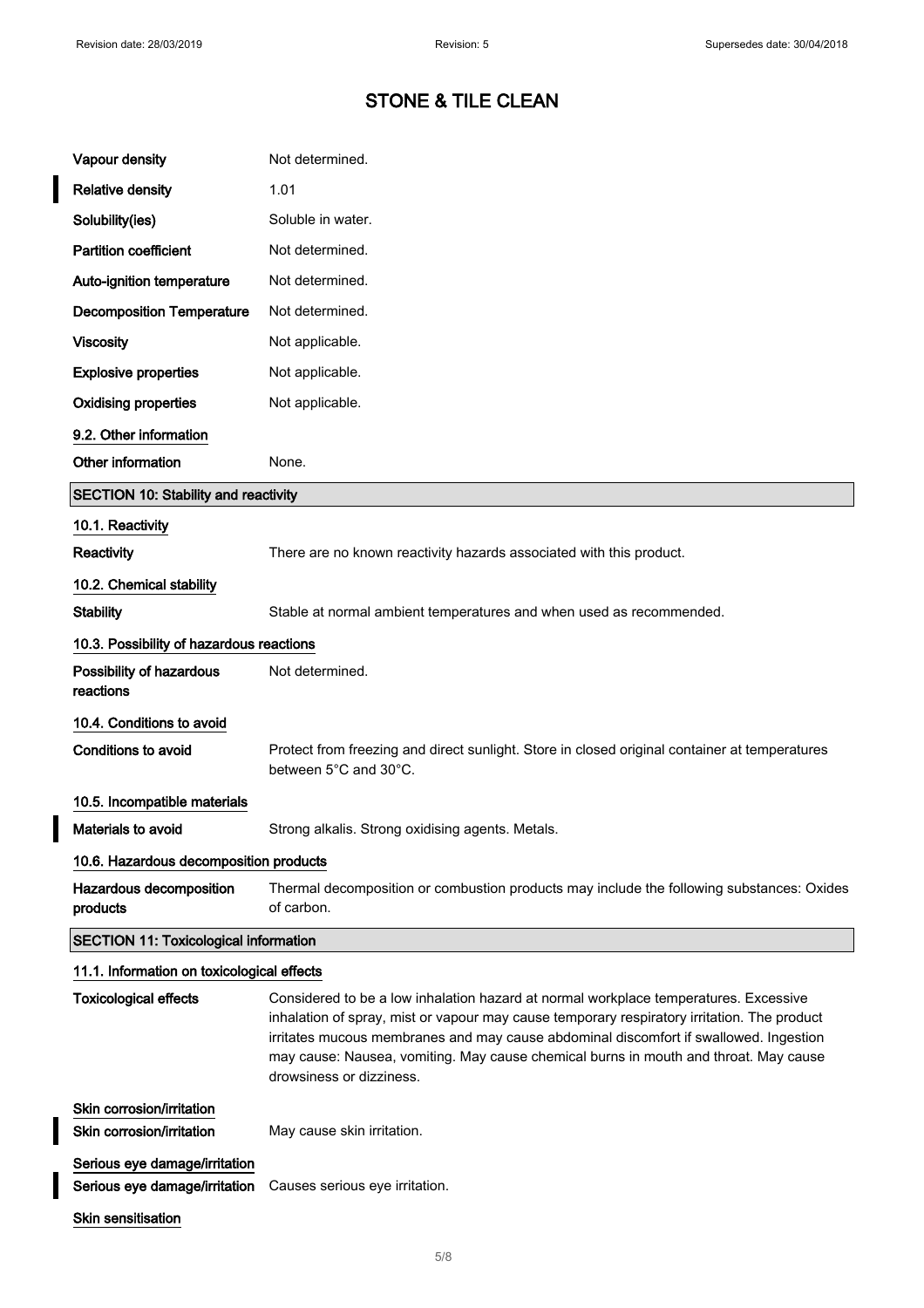$\overline{\mathbf{I}}$ 

 $\overline{\phantom{a}}$ 

 $\overline{\phantom{a}}$ 

# STONE & TILE CLEAN

| Vapour density                                                 | Not determined.                                                                                                                                                                                                                                                                                                                                                                                  |  |
|----------------------------------------------------------------|--------------------------------------------------------------------------------------------------------------------------------------------------------------------------------------------------------------------------------------------------------------------------------------------------------------------------------------------------------------------------------------------------|--|
| <b>Relative density</b>                                        | 1.01                                                                                                                                                                                                                                                                                                                                                                                             |  |
| Solubility(ies)                                                | Soluble in water.                                                                                                                                                                                                                                                                                                                                                                                |  |
| <b>Partition coefficient</b>                                   | Not determined.                                                                                                                                                                                                                                                                                                                                                                                  |  |
| Auto-ignition temperature                                      | Not determined.                                                                                                                                                                                                                                                                                                                                                                                  |  |
| <b>Decomposition Temperature</b>                               | Not determined.                                                                                                                                                                                                                                                                                                                                                                                  |  |
| <b>Viscosity</b>                                               | Not applicable.                                                                                                                                                                                                                                                                                                                                                                                  |  |
| <b>Explosive properties</b>                                    | Not applicable.                                                                                                                                                                                                                                                                                                                                                                                  |  |
| <b>Oxidising properties</b>                                    | Not applicable.                                                                                                                                                                                                                                                                                                                                                                                  |  |
| 9.2. Other information                                         |                                                                                                                                                                                                                                                                                                                                                                                                  |  |
| Other information                                              | None.                                                                                                                                                                                                                                                                                                                                                                                            |  |
| <b>SECTION 10: Stability and reactivity</b>                    |                                                                                                                                                                                                                                                                                                                                                                                                  |  |
| 10.1. Reactivity                                               |                                                                                                                                                                                                                                                                                                                                                                                                  |  |
| Reactivity                                                     | There are no known reactivity hazards associated with this product.                                                                                                                                                                                                                                                                                                                              |  |
| 10.2. Chemical stability                                       |                                                                                                                                                                                                                                                                                                                                                                                                  |  |
| <b>Stability</b>                                               | Stable at normal ambient temperatures and when used as recommended.                                                                                                                                                                                                                                                                                                                              |  |
| 10.3. Possibility of hazardous reactions                       |                                                                                                                                                                                                                                                                                                                                                                                                  |  |
| Possibility of hazardous<br>reactions                          | Not determined.                                                                                                                                                                                                                                                                                                                                                                                  |  |
| 10.4. Conditions to avoid                                      |                                                                                                                                                                                                                                                                                                                                                                                                  |  |
| Conditions to avoid                                            | Protect from freezing and direct sunlight. Store in closed original container at temperatures<br>between 5°C and 30°C.                                                                                                                                                                                                                                                                           |  |
| 10.5. Incompatible materials                                   |                                                                                                                                                                                                                                                                                                                                                                                                  |  |
| <b>Materials to avoid</b>                                      | Strong alkalis. Strong oxidising agents. Metals.                                                                                                                                                                                                                                                                                                                                                 |  |
| 10.6. Hazardous decomposition products                         |                                                                                                                                                                                                                                                                                                                                                                                                  |  |
| Hazardous decomposition<br>products                            | Thermal decomposition or combustion products may include the following substances: Oxides<br>of carbon.                                                                                                                                                                                                                                                                                          |  |
| <b>SECTION 11: Toxicological information</b>                   |                                                                                                                                                                                                                                                                                                                                                                                                  |  |
| 11.1. Information on toxicological effects                     |                                                                                                                                                                                                                                                                                                                                                                                                  |  |
| <b>Toxicological effects</b>                                   | Considered to be a low inhalation hazard at normal workplace temperatures. Excessive<br>inhalation of spray, mist or vapour may cause temporary respiratory irritation. The product<br>irritates mucous membranes and may cause abdominal discomfort if swallowed. Ingestion<br>may cause: Nausea, vomiting. May cause chemical burns in mouth and throat. May cause<br>drowsiness or dizziness. |  |
| Skin corrosion/irritation<br>Skin corrosion/irritation         | May cause skin irritation.                                                                                                                                                                                                                                                                                                                                                                       |  |
| Serious eye damage/irritation<br>Serious eye damage/irritation | Causes serious eye irritation.                                                                                                                                                                                                                                                                                                                                                                   |  |
| Skin sensitisation                                             |                                                                                                                                                                                                                                                                                                                                                                                                  |  |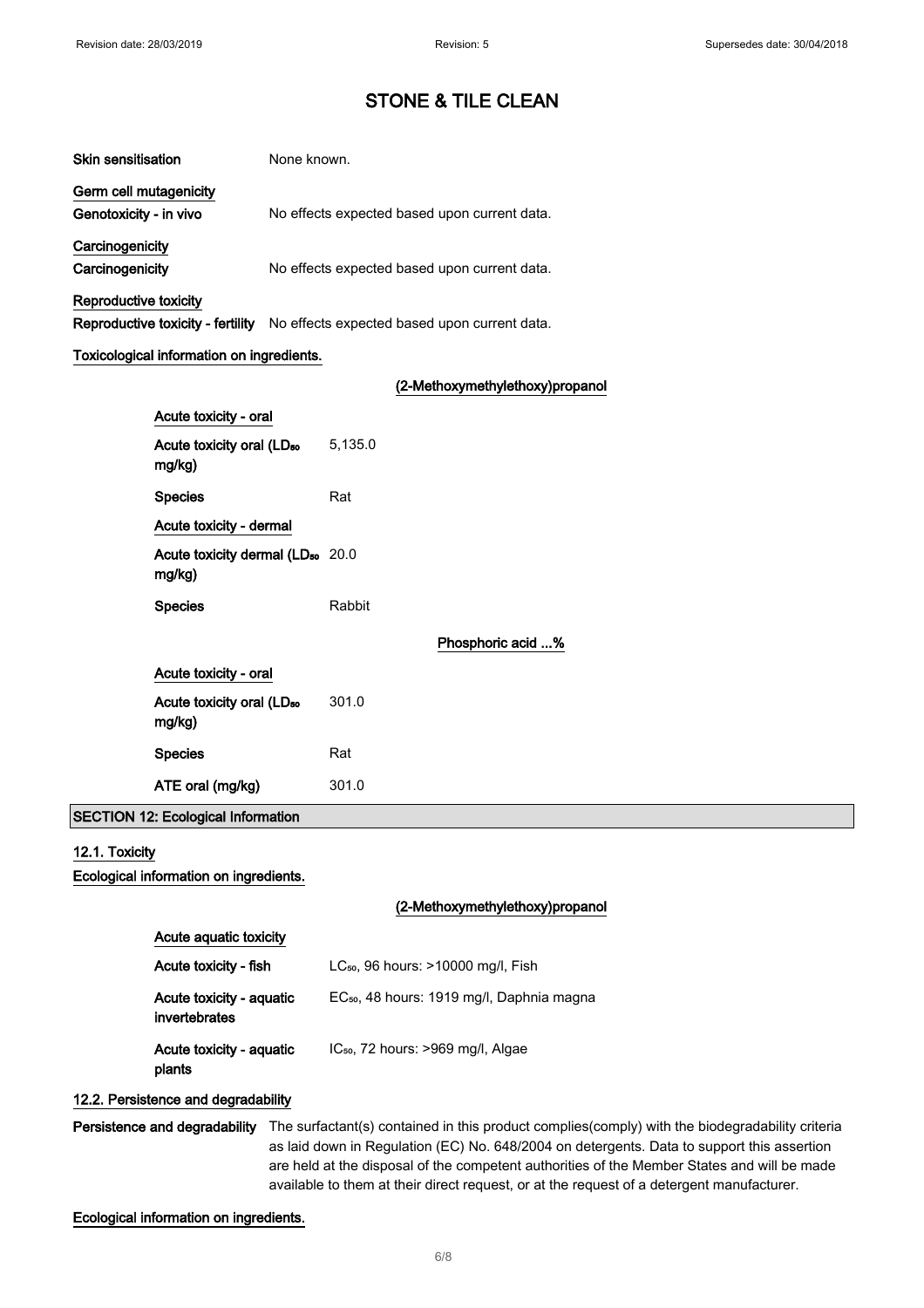| <b>Skin sensitisation</b> | None known.                                  |
|---------------------------|----------------------------------------------|
| Germ cell mutagenicity    |                                              |
| Genotoxicity - in vivo    | No effects expected based upon current data. |
| Carcinogenicity           |                                              |
| Carcinogenicity           | No effects expected based upon current data. |
| Reproductive toxicity     |                                              |

Reproductive toxicity - fertility No effects expected based upon current data.

### Toxicological information on ingredients.

## (2-Methoxymethylethoxy)propanol

| Acute toxicity - oral                                  |         |                   |
|--------------------------------------------------------|---------|-------------------|
| Acute toxicity oral (LD <sub>50</sub><br>mg/kg)        | 5,135.0 |                   |
| <b>Species</b>                                         | Rat     |                   |
| Acute toxicity - dermal                                |         |                   |
| Acute toxicity dermal (LD <sub>50</sub> 20.0<br>mg/kg) |         |                   |
| <b>Species</b>                                         | Rabbit  |                   |
|                                                        |         | Phosphoric acid % |
| Acute toxicity - oral                                  |         |                   |
| Acute toxicity oral (LD <sub>50</sub><br>mg/kg)        | 301.0   |                   |
| <b>Species</b>                                         | Rat     |                   |
| ATE oral (mg/kg)                                       | 301.0   |                   |

# SECTION 12: Ecological Information

## 12.1. Toxicity

Ecological information on ingredients.

## (2-Methoxymethylethoxy)propanol

| Acute aguatic toxicity                    |                                                       |  |
|-------------------------------------------|-------------------------------------------------------|--|
| Acute toxicity - fish                     | $LC_{50}$ , 96 hours: $>10000$ mg/l, Fish             |  |
| Acute toxicity - aquatic<br>invertebrates | EC <sub>50</sub> , 48 hours: 1919 mg/l, Daphnia magna |  |
| Acute toxicity - aquatic<br>plants        | IC <sub>50</sub> , 72 hours: >969 mg/l, Algae         |  |

### 12.2. Persistence and degradability

Persistence and degradability The surfactant(s) contained in this product complies(comply) with the biodegradability criteria as laid down in Regulation (EC) No. 648/2004 on detergents. Data to support this assertion are held at the disposal of the competent authorities of the Member States and will be made available to them at their direct request, or at the request of a detergent manufacturer.

Ecological information on ingredients.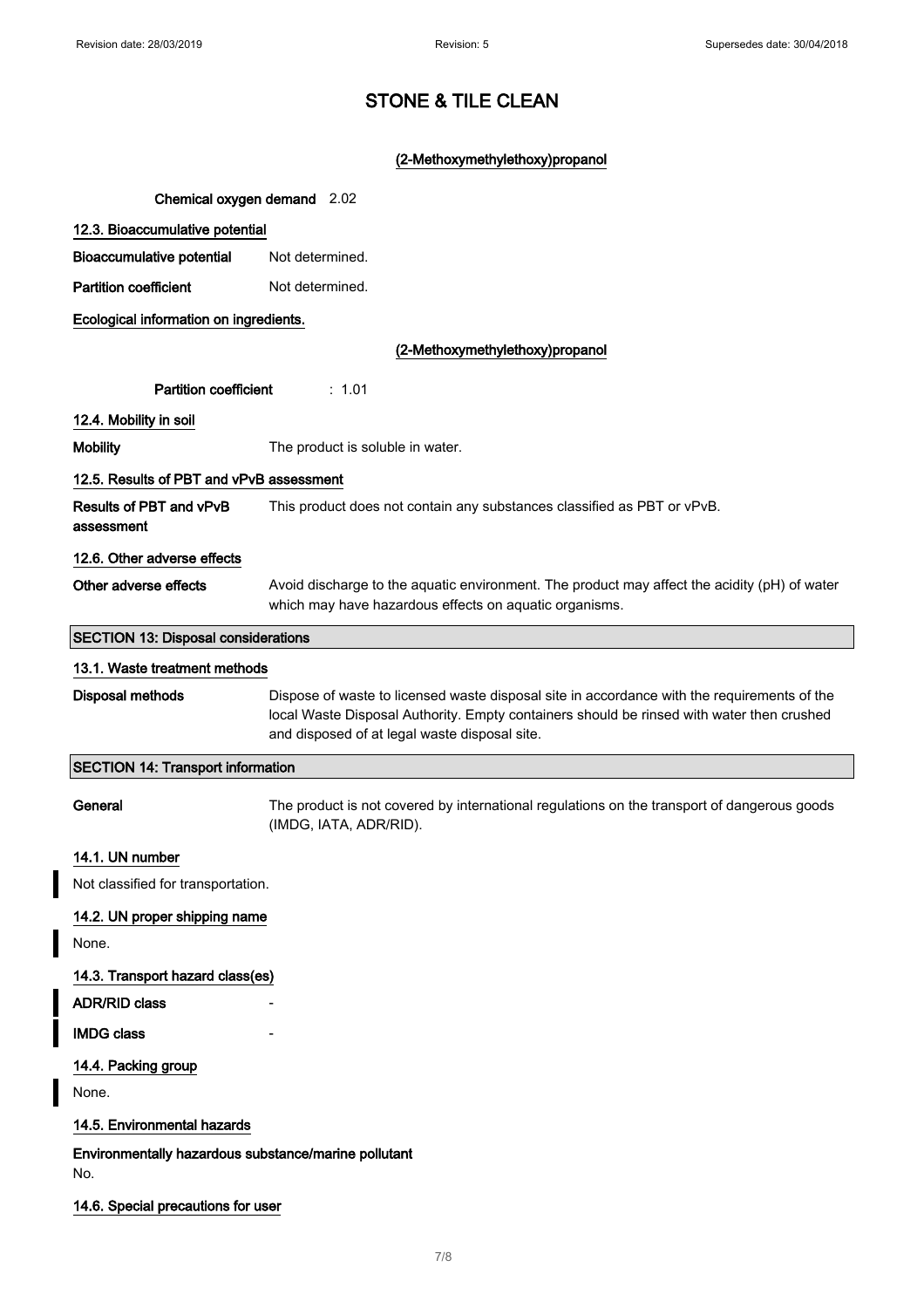# STONE & TILE CLEAN

# (2-Methoxymethylethoxy)propanol

| Chemical oxygen demand 2.02                                 |                                                                                                                                                                                                                                           |  |
|-------------------------------------------------------------|-------------------------------------------------------------------------------------------------------------------------------------------------------------------------------------------------------------------------------------------|--|
| 12.3. Bioaccumulative potential                             |                                                                                                                                                                                                                                           |  |
| <b>Bioaccumulative potential</b>                            | Not determined.                                                                                                                                                                                                                           |  |
| <b>Partition coefficient</b>                                | Not determined.                                                                                                                                                                                                                           |  |
| Ecological information on ingredients.                      |                                                                                                                                                                                                                                           |  |
|                                                             | (2-Methoxymethylethoxy)propanol                                                                                                                                                                                                           |  |
| <b>Partition coefficient</b><br>: 1.01                      |                                                                                                                                                                                                                                           |  |
| 12.4. Mobility in soil                                      |                                                                                                                                                                                                                                           |  |
| <b>Mobility</b>                                             | The product is soluble in water.                                                                                                                                                                                                          |  |
| 12.5. Results of PBT and vPvB assessment                    |                                                                                                                                                                                                                                           |  |
| <b>Results of PBT and vPvB</b><br>assessment                | This product does not contain any substances classified as PBT or vPvB.                                                                                                                                                                   |  |
| 12.6. Other adverse effects                                 |                                                                                                                                                                                                                                           |  |
| Other adverse effects                                       | Avoid discharge to the aquatic environment. The product may affect the acidity (pH) of water<br>which may have hazardous effects on aquatic organisms.                                                                                    |  |
| <b>SECTION 13: Disposal considerations</b>                  |                                                                                                                                                                                                                                           |  |
| 13.1. Waste treatment methods                               |                                                                                                                                                                                                                                           |  |
| Disposal methods                                            | Dispose of waste to licensed waste disposal site in accordance with the requirements of the<br>local Waste Disposal Authority. Empty containers should be rinsed with water then crushed<br>and disposed of at legal waste disposal site. |  |
| <b>SECTION 14: Transport information</b>                    |                                                                                                                                                                                                                                           |  |
| General                                                     | The product is not covered by international regulations on the transport of dangerous goods<br>(IMDG, IATA, ADR/RID).                                                                                                                     |  |
| 14.1. UN number                                             |                                                                                                                                                                                                                                           |  |
| Not classified for transportation.                          |                                                                                                                                                                                                                                           |  |
| 14.2. UN proper shipping name                               |                                                                                                                                                                                                                                           |  |
| None.                                                       |                                                                                                                                                                                                                                           |  |
| 14.3. Transport hazard class(es)                            |                                                                                                                                                                                                                                           |  |
| <b>ADR/RID class</b>                                        |                                                                                                                                                                                                                                           |  |
| <b>IMDG class</b>                                           |                                                                                                                                                                                                                                           |  |
| 14.4. Packing group<br>None.                                |                                                                                                                                                                                                                                           |  |
| 14.5. Environmental hazards                                 |                                                                                                                                                                                                                                           |  |
| Environmentally hazardous substance/marine pollutant<br>No. |                                                                                                                                                                                                                                           |  |
| 14.6. Special precautions for user                          |                                                                                                                                                                                                                                           |  |